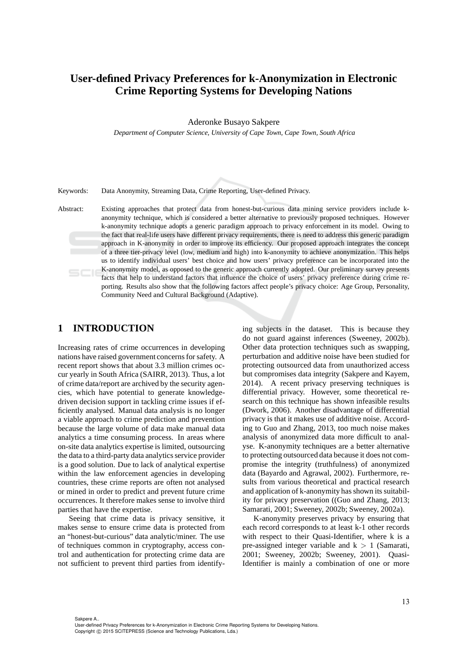# **User-defined Privacy Preferences for k-Anonymization in Electronic Crime Reporting Systems for Developing Nations**

Aderonke Busayo Sakpere

*Department of Computer Science, University of Cape Town, Cape Town, South Africa*

Keywords: Data Anonymity, Streaming Data, Crime Reporting, User-defined Privacy.

Abstract: Existing approaches that protect data from honest-but-curious data mining service providers include kanonymity technique, which is considered a better alternative to previously proposed techniques. However k-anonymity technique adopts a generic paradigm approach to privacy enforcement in its model. Owing to the fact that real-life users have different privacy requirements, there is need to address this generic paradigm approach in K-anonymity in order to improve its efficiency. Our proposed approach integrates the concept of a three tier-privacy level (low, medium and high) into k-anonymity to achieve anonymization. This helps us to identify individual users' best choice and how users' privacy preference can be incorporated into the K-anonymity model, as opposed to the generic approach currently adopted. Our preliminary survey presents facts that help to understand factors that influence the choice of users' privacy preference during crime reporting. Results also show that the following factors affect people's privacy choice: Age Group, Personality, Community Need and Cultural Background (Adaptive).

## **1 INTRODUCTION**

Increasing rates of crime occurrences in developing nations have raised government concerns for safety. A recent report shows that about 3.3 million crimes occur yearly in South Africa (SAIRR, 2013). Thus, a lot of crime data/report are archived by the security agencies, which have potential to generate knowledgedriven decision support in tackling crime issues if efficiently analysed. Manual data analysis is no longer a viable approach to crime prediction and prevention because the large volume of data make manual data analytics a time consuming process. In areas where on-site data analytics expertise is limited, outsourcing the data to a third-party data analytics service provider is a good solution. Due to lack of analytical expertise within the law enforcement agencies in developing countries, these crime reports are often not analysed or mined in order to predict and prevent future crime occurrences. It therefore makes sense to involve third parties that have the expertise.

Seeing that crime data is privacy sensitive, it makes sense to ensure crime data is protected from an "honest-but-curious" data analytic/miner. The use of techniques common in cryptography, access control and authentication for protecting crime data are not sufficient to prevent third parties from identifying subjects in the dataset. This is because they do not guard against inferences (Sweeney, 2002b). Other data protection techniques such as swapping, perturbation and additive noise have been studied for protecting outsourced data from unauthorized access but compromises data integrity (Sakpere and Kayem, 2014). A recent privacy preserving techniques is differential privacy. However, some theoretical research on this technique has shown infeasible results (Dwork, 2006). Another disadvantage of differential privacy is that it makes use of additive noise. According to Guo and Zhang, 2013, too much noise makes analysis of anonymized data more difficult to analyse. K-anonymity techniques are a better alternative to protecting outsourced data because it does not compromise the integrity (truthfulness) of anonymized data (Bayardo and Agrawal, 2002). Furthermore, results from various theoretical and practical research and application of k-anonymity has shown its suitability for privacy preservation ((Guo and Zhang, 2013; Samarati, 2001; Sweeney, 2002b; Sweeney, 2002a).

K-anonymity preserves privacy by ensuring that each record corresponds to at least k-1 other records with respect to their Quasi-Identifier, where k is a pre-assigned integer variable and  $k > 1$  (Samarati, 2001; Sweeney, 2002b; Sweeney, 2001). Quasi-Identifier is mainly a combination of one or more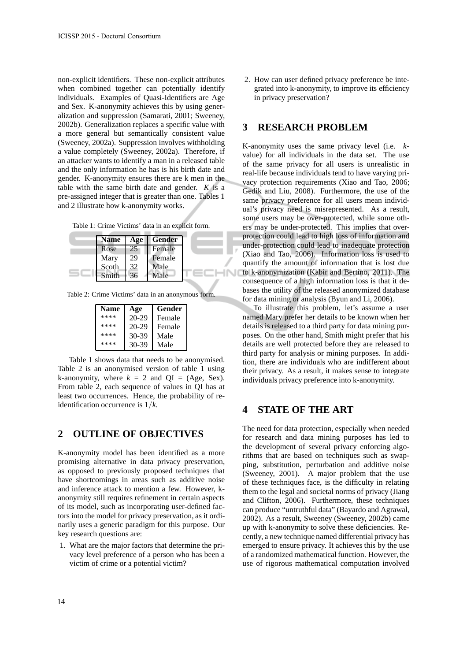non-explicit identifiers. These non-explicit attributes when combined together can potentially identify individuals. Examples of Quasi-Identifiers are Age and Sex. K-anonymity achieves this by using generalization and suppression (Samarati, 2001; Sweeney, 2002b). Generalization replaces a specific value with a more general but semantically consistent value (Sweeney, 2002a). Suppression involves withholding a value completely (Sweeney, 2002a). Therefore, if an attacker wants to identify a man in a released table and the only information he has is his birth date and gender. K-anonymity ensures there are k men in the table with the same birth date and gender. *K* is a pre-assigned integer that is greater than one. Tables 1 and 2 illustrate how k-anonymity works.

Table 1: Crime Victims' data in an explicit form.

| <b>Name</b> | Age | Gender |
|-------------|-----|--------|
| Rose        | 25  | Female |
| Mary        | 29  | Female |
| Scoth       | 32  | Male   |
| Smith       | 36  | Male   |

Table 2: Crime Victims' data in an anonymous form.

| <b>Name</b> | Age     | Gender |
|-------------|---------|--------|
| ****        | 20-29   | Female |
| ****        | 20-29   | Female |
| ****        | $30-39$ | Male   |
| ****        | 30-39   | Male   |

Table 1 shows data that needs to be anonymised. Table 2 is an anonymised version of table 1 using k-anonymity, where  $k = 2$  and  $QI = (Age, Sex)$ . From table 2, each sequence of values in QI has at least two occurrences. Hence, the probability of reidentification occurrence is 1/*k*.

### **2 OUTLINE OF OBJECTIVES**

K-anonymity model has been identified as a more promising alternative in data privacy preservation, as opposed to previously proposed techniques that have shortcomings in areas such as additive noise and inference attack to mention a few. However, kanonymity still requires refinement in certain aspects of its model, such as incorporating user-defined factors into the model for privacy preservation, as it ordinarily uses a generic paradigm for this purpose. Our key research questions are:

1. What are the major factors that determine the privacy level preference of a person who has been a victim of crime or a potential victim?

2. How can user defined privacy preference be integrated into k-anonymity, to improve its efficiency in privacy preservation?

## **3 RESEARCH PROBLEM**

K-anonymity uses the same privacy level (i.e. *k*value) for all individuals in the data set. The use of the same privacy for all users is unrealistic in real-life because individuals tend to have varying privacy protection requirements (Xiao and Tao, 2006; Gedik and Liu, 2008). Furthermore, the use of the same privacy preference for all users mean individual's privacy need is misrepresented. As a result, some users may be over-protected, while some others may be under-protected. This implies that overprotection could lead to high loss of information and under-protection could lead to inadequate protection (Xiao and Tao, 2006). Information loss is used to quantify the amount of information that is lost due to k-anonymization (Kabir and Bertino, 2011). The consequence of a high information loss is that it debases the utility of the released anonymized database for data mining or analysis (Byun and Li, 2006).

To illustrate this problem, let's assume a user named Mary prefer her details to be known when her details is released to a third party for data mining purposes. On the other hand, Smith might prefer that his details are well protected before they are released to third party for analysis or mining purposes. In addition, there are individuals who are indifferent about their privacy. As a result, it makes sense to integrate individuals privacy preference into k-anonymity.

## **4 STATE OF THE ART**

The need for data protection, especially when needed for research and data mining purposes has led to the development of several privacy enforcing algorithms that are based on techniques such as swapping, substitution, perturbation and additive noise (Sweeney, 2001). A major problem that the use of these techniques face, is the difficulty in relating them to the legal and societal norms of privacy (Jiang and Clifton, 2006). Furthermore, these techniques can produce "untruthful data" (Bayardo and Agrawal, 2002). As a result, Sweeney (Sweeney, 2002b) came up with k-anonymity to solve these deficiencies. Recently, a new technique named differential privacy has emerged to ensure privacy. It achieves this by the use of a randomized mathematical function. However, the use of rigorous mathematical computation involved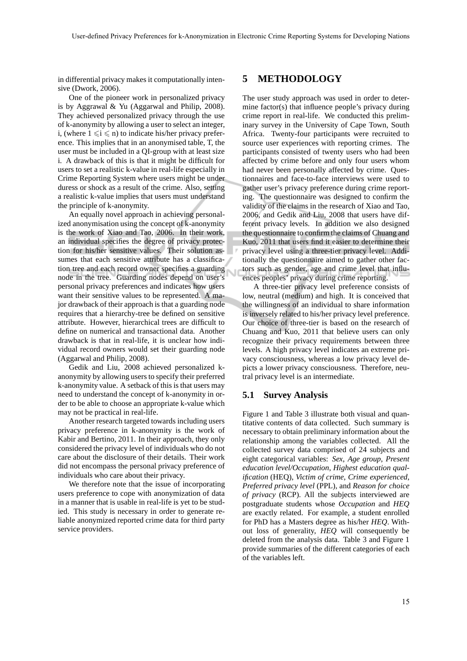in differential privacy makes it computationally intensive (Dwork, 2006).

One of the pioneer work in personalized privacy is by Aggrawal & Yu (Aggarwal and Philip, 2008). They achieved personalized privacy through the use of k-anonymity by allowing a user to select an integer, i, (where  $1 \le i \le n$ ) to indicate his/her privacy preference. This implies that in an anonymised table, T, the user must be included in a QI-group with at least size i. A drawback of this is that it might be difficult for users to set a realistic k-value in real-life especially in Crime Reporting System where users might be under duress or shock as a result of the crime. Also, setting a realistic k-value implies that users must understand the principle of k-anonymity.

An equally novel approach in achieving personalized anonymisation using the concept of k-anonymity is the work of Xiao and Tao, 2006. In their work, an individual specifies the degree of privacy protection for his/her sensitive values. Their solution assumes that each sensitive attribute has a classification tree and each record owner specifies a guarding node in the tree. Guarding nodes depend on user's personal privacy preferences and indicates how users want their sensitive values to be represented. A major drawback of their approach is that a guarding node requires that a hierarchy-tree be defined on sensitive attribute. However, hierarchical trees are difficult to define on numerical and transactional data. Another drawback is that in real-life, it is unclear how individual record owners would set their guarding node (Aggarwal and Philip, 2008).

Gedik and Liu, 2008 achieved personalized kanonymity by allowing users to specify their preferred k-anonymity value. A setback of this is that users may need to understand the concept of k-anonymity in order to be able to choose an appropriate k-value which may not be practical in real-life.

Another research targeted towards including users privacy preference in k-anonymity is the work of Kabir and Bertino, 2011. In their approach, they only considered the privacy level of individuals who do not care about the disclosure of their details. Their work did not encompass the personal privacy preference of individuals who care about their privacy.

We therefore note that the issue of incorporating users preference to cope with anonymization of data in a manner that is usable in real-life is yet to be studied. This study is necessary in order to generate reliable anonymized reported crime data for third party service providers.

## **5 METHODOLOGY**

The user study approach was used in order to determine factor(s) that influence people's privacy during crime report in real-life. We conducted this preliminary survey in the University of Cape Town, South Africa. Twenty-four participants were recruited to source user experiences with reporting crimes. The participants consisted of twenty users who had been affected by crime before and only four users whom had never been personally affected by crime. Questionnaires and face-to-face interviews were used to gather user's privacy preference during crime reporting. The questionnaire was designed to confirm the validity of the claims in the research of Xiao and Tao, 2006, and Gedik and Liu, 2008 that users have different privacy levels. In addition we also designed the questionnaire to confirm the claims of Chuang and Kuo, 2011 that users find it easier to determine their privacy level using a three-tier privacy level. Additionally the questionnaire aimed to gather other factors such as gender, age and crime level that influences peoples' privacy during crime reporting.

A three-tier privacy level preference consists of low, neutral (medium) and high. It is conceived that the willingness of an individual to share information is inversely related to his/her privacy level preference. Our choice of three-tier is based on the research of Chuang and Kuo, 2011 that believe users can only recognize their privacy requirements between three levels. A high privacy level indicates an extreme privacy consciousness, whereas a low privacy level depicts a lower privacy consciousness. Therefore, neutral privacy level is an intermediate.

#### **5.1 Survey Analysis**

Figure 1 and Table 3 illustrate both visual and quantitative contents of data collected. Such summary is necessary to obtain preliminary information about the relationship among the variables collected. All the collected survey data comprised of 24 subjects and eight categorical variables: *Sex*, *Age group*, *Present education level/Occupation*, *Highest education qualification* (HEQ), *Victim of crime*, *Crime experienced*, *Preferred privacy level* (PPL), and *Reason for choice of privacy* (RCP). All the subjects interviewed are postgraduate students whose *Occupation* and *HEQ* are exactly related. For example, a student enrolled for PhD has a Masters degree as his/her *HEQ*. Without loss of generality, *HEQ* will consequently be deleted from the analysis data. Table 3 and Figure 1 provide summaries of the different categories of each of the variables left.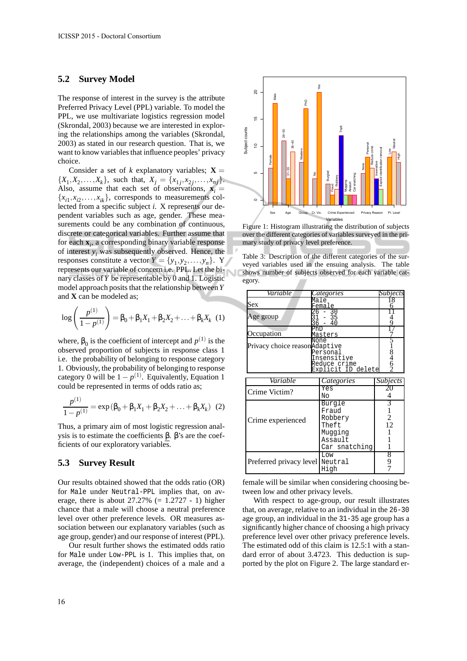#### **5.2 Survey Model**

The response of interest in the survey is the attribute Preferred Privacy Level (PPL) variable. To model the PPL, we use multivariate logistics regression model (Skrondal, 2003) because we are interested in exploring the relationships among the variables (Skrondal, 2003) as stated in our research question. That is, we want to know variables that influence peoples' privacy choice.

Consider a set of *k* explanatory variables;  $X =$  $\{X_1, X_2, \ldots, X_k\}$ , such that,  $X_j = \{x_{1j}, x_{2j}, \ldots, x_{nj}\}$ . Also, assume that each set of observations,  $\mathbf{x}_i$  =  ${x_{i1}, x_{i2}, \ldots, x_{ik}}$ , corresponds to measurements collected from a specific subject *i*. X represents our dependent variables such as age, gender. These measurements could be any combination of continuous, discrete or categorical variables. Further assume that for each **x***<sup>i</sup>* , a corresponding binary variable response of interest *y<sup>i</sup>* was subsequently observed. Hence, the responses constitute a vector  $Y = \{y_1, y_2, \dots, y_n\}$ . Y represents our variable of concern i.e. PPL. Let the binary classes of *Y* be representable by 0 and 1. Logistic model approach posits that the relationship between*Y* and **X** can be modeled as;

$$
\log\left(\frac{p^{(1)}}{1-p^{(1)}}\right) = \beta_0 + \beta_1 X_1 + \beta_2 X_2 + \ldots + \beta_k X_k
$$
 (1)

where,  $\beta_0$  is the coefficient of intercept and  $p^{(1)}$  is the observed proportion of subjects in response class 1 i.e. the probability of belonging to response category 1. Obviously, the probability of belonging to response category 0 will be  $1 - p^{(1)}$ . Equivalently, Equation 1 could be represented in terms of odds ratio as;

$$
\frac{p^{(1)}}{1-p^{(1)}} = \exp(\beta_0 + \beta_1 X_1 + \beta_2 X_2 + \dots + \beta_k X_k)
$$
 (2)

Thus, a primary aim of most logistic regression analysis is to estimate the coefficients  $\beta$ . β's are the coefficients of our exploratory variables.

### **5.3 Survey Result**

Our results obtained showed that the odds ratio (OR) for Male under Neutral-PPL implies that, on average, there is about  $27.27\%$  (= 1.2727 - 1) higher chance that a male will choose a neutral preference level over other preference levels. OR measures association between our explanatory variables (such as age group, gender) and our response of interest (PPL).

Our result further shows the estimated odds ratio for Male under Low-PPL is 1. This implies that, on average, the (independent) choices of a male and a



Figure 1: Histogram illustrating the distribution of subjects over the different categories of variables surveyed in the primary study of privacy level preference.

Table 3: Description of the different categories of the surveyed variables used in the ensuing analysis. The table shows number of subjects observed for each variable category.

| Variable                                                                                               | Categories                                                                 | <i><b>Subjects</b></i>    |
|--------------------------------------------------------------------------------------------------------|----------------------------------------------------------------------------|---------------------------|
| Sex                                                                                                    | Male<br>Female                                                             |                           |
| 26<br>Age group                                                                                        | 30<br>- 35<br>40                                                           |                           |
| Occupation                                                                                             | Masters                                                                    |                           |
| None<br>Privacy choice reasonAdaptive<br>Personal<br>Insensitive<br>Reduce crime<br>Explicit ID delete | 846                                                                        |                           |
| Variable                                                                                               | Categories                                                                 | <i>Subjects</i>           |
| Crime Victim?                                                                                          | Yes<br>Nο                                                                  | 4                         |
| Crime experienced                                                                                      | Burgle<br>Fraud<br>Robbery<br>Theft<br>Muqqinq<br>Assault<br>Car snatching | 3<br>$\overline{c}$<br>12 |
| Preferred privacy level Neutral                                                                        | Low<br>High                                                                | 8<br>9                    |

female will be similar when considering choosing between low and other privacy levels.

With respect to age-group, our result illustrates that, on average, relative to an individual in the 26-30 age group, an individual in the 31-35 age group has a significantly higher chance of choosing a high privacy preference level over other privacy preference levels. The estimated odd of this claim is 12.5:1 with a standard error of about 3.4723. This deduction is supported by the plot on Figure 2. The large standard er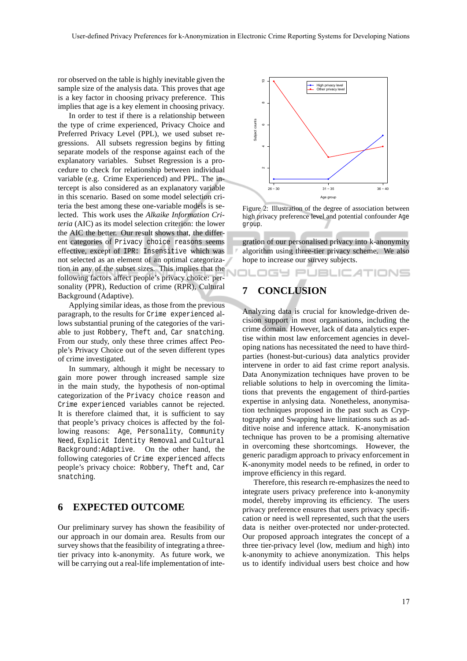ror observed on the table is highly inevitable given the sample size of the analysis data. This proves that age is a key factor in choosing privacy preference. This implies that age is a key element in choosing privacy.

In order to test if there is a relationship between the type of crime experienced, Privacy Choice and Preferred Privacy Level (PPL), we used subset regressions. All subsets regression begins by fitting separate models of the response against each of the explanatory variables. Subset Regression is a procedure to check for relationship between individual variable (e.g. Crime Experienced) and PPL. The intercept is also considered as an explanatory variable in this scenario. Based on some model selection criteria the best among these one-variable models is selected. This work uses the *Alkaike Information Criteria* (AIC) as its model selection criterion: the lower the AIC the better. Our result shows that, the different categories of Privacy choice reasons seems effective, except of IPR: Insensitive which was not selected as an element of an optimal categorization in any of the subset sizes. This implies that the following factors affect people's privacy choice: personality (PPR), Reduction of crime (RPR), Cultural Background (Adaptive).

Applying similar ideas, as those from the previous paragraph, to the results for Crime experienced allows substantial pruning of the categories of the variable to just Robbery, Theft and, Car snatching. From our study, only these three crimes affect People's Privacy Choice out of the seven different types of crime investigated.

In summary, although it might be necessary to gain more power through increased sample size in the main study, the hypothesis of non-optimal categorization of the Privacy choice reason and Crime experienced variables cannot be rejected. It is therefore claimed that, it is sufficient to say that people's privacy choices is affected by the following reasons: Age, Personality, Community Need, Explicit Identity Removal and Cultural Background:Adaptive. On the other hand, the following categories of Crime experienced affects people's privacy choice: Robbery, Theft and, Car snatching.

## **6 EXPECTED OUTCOME**

Our preliminary survey has shown the feasibility of our approach in our domain area. Results from our survey shows that the feasibility of integrating a threetier privacy into k-anonymity. As future work, we will be carrying out a real-life implementation of inte-



Figure 2: Illustration of the degree of association between high privacy preference level and potential confounder Age group.

gration of our personalised privacy into k-anonymity algorithm using three-tier privacy scheme. We also hope to increase our survey subjects.

OGY PUBLIC ATIONS

# **7 CONCLUSION**

Analyzing data is crucial for knowledge-driven decision support in most organisations, including the crime domain. However, lack of data analytics expertise within most law enforcement agencies in developing nations has necessitated the need to have thirdparties (honest-but-curious) data analytics provider intervene in order to aid fast crime report analysis. Data Anonymization techniques have proven to be reliable solutions to help in overcoming the limitations that prevents the engagement of third-parties expertise in anlysing data. Nonetheless, anonymisation techniques proposed in the past such as Cryptography and Swapping have limitations such as additive noise and inference attack. K-anonymisation technique has proven to be a promising alternative in overcoming these shortcomings. However, the generic paradigm approach to privacy enforcement in K-anonymity model needs to be refined, in order to improve efficiency in this regard.

Therefore, this research re-emphasizes the need to integrate users privacy preference into k-anonymity model, thereby improving its efficiency. The users privacy preference ensures that users privacy specification or need is well represented, such that the users data is neither over-protected nor under-protected. Our proposed approach integrates the concept of a three tier-privacy level (low, medium and high) into k-anonymity to achieve anonymization. This helps us to identify individual users best choice and how